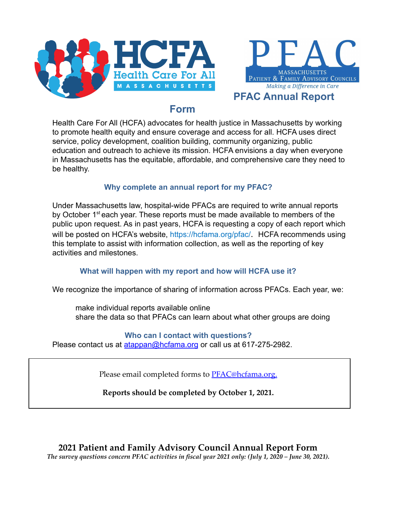



# **PFAC Annual Report**

# **Form**

Health Care For All (HCFA) advocates for health justice in Massachusetts by working to promote health equity and ensure coverage and access for all. HCFA uses direct service, policy development, coalition building, community organizing, public education and outreach to achieve its mission. HCFA envisions a day when everyone in Massachusetts has the equitable, affordable, and comprehensive care they need to be healthy.

# **Why complete an annual report for my PFAC?**

Under Massachusetts law, hospital-wide PFACs are required to write annual reports by October 1<sup>st</sup> each year. These reports must be made available to members of the public upon request. As in past years, HCFA is requesting a copy of each report which will be posted on HCFA's website, https://hcfama.org/pfac/. HCFA recommends using this template to assist with information collection, as well as the reporting of key activities and milestones.

# **What will happen with my report and how will HCFA use it?**

We recognize the importance of sharing of information across PFACs. Each year, we:

make individual reports available online share the data so that PFACs can learn about what other groups are doing

## **Who can I contact with questions?**

Please contact us at [atappan@hcfama.org](mailto:atappan@hcfama.org) or call us at 617-275-2982.

Please email completed forms to [PFAC@hcfama.org](mailto:PFAC@hcfama.org).

**Reports should be completed by October 1, 2021.**

**2021 Patient and Family Advisory Council Annual Report Form** The survey questions concern PFAC activities in fiscal year 2021 only: (July 1, 2020 – June 30, 2021).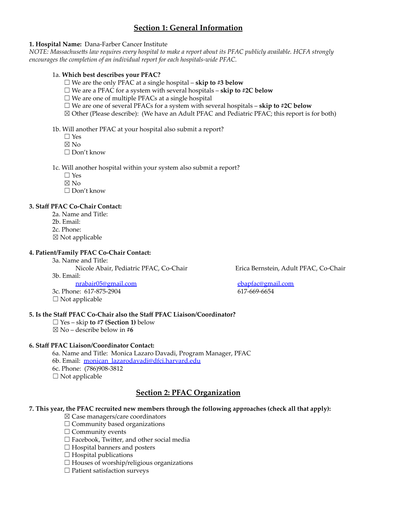# **Section 1: General Information**

### **1. Hospital Name:** Dana-Farber Cancer Institute

NOTE: Massachusetts law requires every hospital to make a report about its PFAC publicly available. HCFA strongly *encourages the completion of an individual report for each hospitals-wide PFAC.*

#### 1a. **Which best describes your PFAC?**

☐ We are the only PFAC at a single hospital – **skip to #3 below**

- ☐ We are a PFAC for a system with several hospitals **skip to #2C below**
- $\Box$  We are one of multiple PFACs at a single hospital
- ☐ We are one of several PFACs for a system with several hospitals **skip to #2C below**
- $\boxtimes$  Other (Please describe): (We have an Adult PFAC and Pediatric PFAC; this report is for both)

#### 1b. Will another PFAC at your hospital also submit a report?

- $\Box$  Yes
- $\nabla$  No
- ☐ Don't know

1c. Will another hospital within your system also submit a report?

- $\Box$  Yes
- ☒ No
- ☐ Don't know

#### **3. Staff PFAC Co-Chair Contact:**

- 2a. Name and Title:
- 2b. Email:
- 2c. Phone:
- $\boxtimes$  Not applicable

#### **4. Patient/Family PFAC Co-Chair Contact:**

3a. Name and Title: Nicole Abair, Pediatric PFAC, Co-Chair Erica Bernstein, Adult PFAC, Co-Chair 3b. Email:

[nrabair05@gmail.com](mailto:nrabair05@gmail.com) [ebapfac@gmail.com](mailto:ebapfac@gmail.com) 3c. Phone: 617-875-2904 617-669-6654

 $\Box$  Not applicable

#### **5. Is the Staff PFAC Co-Chair also the Staff PFAC Liaison/Coordinator?**

- ☐ Yes skip **to #7 (Section 1)** below
- ☒ No describe below in **#6**

## **6. Staff PFAC Liaison/Coordinator Contact:**

6a. Name and Title: Monica Lazaro Davadi, Program Manager, PFAC

- 6b. Email: [monican\\_lazarodavadi@dfci.harvard.edu](mailto:monican_lazarodavadi@dfci.harvard.edu)
- 6c. Phone: (786)908-3812
- $\square$  Not applicable

## **Section 2: PFAC Organization**

#### **7. This year, the PFAC recruited new members through the following approaches (check all that apply):**

- ☒ Case managers/care coordinators
- $\Box$  Community based organizations
- $\Box$  Community events
- □ Facebook, Twitter, and other social media
- $\Box$  Hospital banners and posters
- $\Box$  Hospital publications
- $\Box$  Houses of worship/religious organizations
- ☐ Patient satisfaction surveys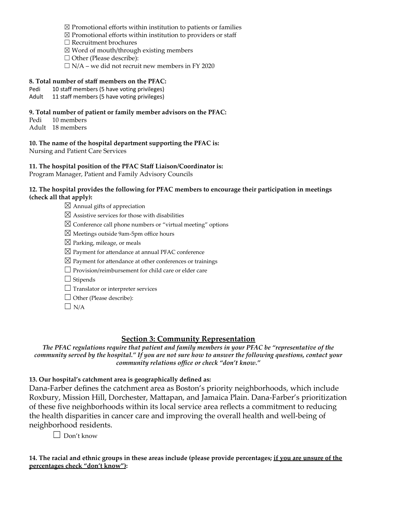- $\boxtimes$  Promotional efforts within institution to patients or families
- $\boxtimes$  Promotional efforts within institution to providers or staff
- ☐ Recruitment brochures
- $\boxtimes$  Word of mouth/through existing members
- □ Other (Please describe):
- $\Box$  N/A we did not recruit new members in FY 2020

## **8. Total number of staff members on the PFAC:**

- Pedi 10 staff members (5 have voting privileges)
- Adult 11 staff members (5 have voting privileges)

## **9. Total number of patient or family member advisors on the PFAC:**

Pedi 10 members Adult 18 members

**10. The name of the hospital department supporting the PFAC is:** Nursing and Patient Care Services

**11. The hospital position of the PFAC Staff Liaison/Coordinator is:**

Program Manager, Patient and Family Advisory Councils

## **12. The hospital provides the following for PFAC members to encourage their participation in meetings (check all that apply):**

- $\boxtimes$  Annual gifts of appreciation
- $\boxtimes$  Assistive services for those with disabilities
- $\boxtimes$  Conference call phone numbers or "virtual meeting" options
- $\boxtimes$  Meetings outside 9am-5pm office hours
- $\boxtimes$  Parking, mileage, or meals
- $\boxtimes$  Payment for attendance at annual PFAC conference
- $\boxtimes$  Payment for attendance at other conferences or trainings
- $\Box$  Provision/reimbursement for child care or elder care

 $\Box$  Stipends

- □ Translator or interpreter services
- □ Other (Please describe):
- $\Box$  N/A

## **Section 3: Community Representation**

*The PFAC regulations require that patient and family members in your PFAC be "representative of the* community served by the hospital." If you are not sure how to answer the following questions, contact your *community relations office or check "don't know."*

**13. Our hospital's catchment area is geographically defined as:**

Dana-Farber defines the catchment area as Boston's priority neighborhoods, which include Roxbury, Mission Hill, Dorchester, Mattapan, and Jamaica Plain. Dana-Farber's prioritization of these five neighborhoods within its local service area reflects a commitment to reducing the health disparities in cancer care and improving the overall health and well-being of neighborhood residents.

 $\Box$  Don't know

14. The racial and ethnic groups in these areas include (please provide percentages; if you are unsure of the **percentages check "don't know"):**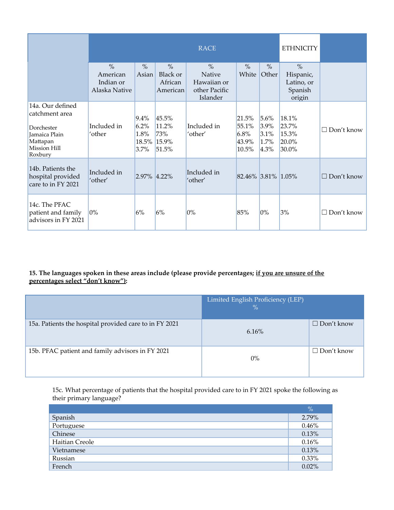|                                                                                                                 | <b>RACE</b>                                             |                                             |                                                  |                                                                     | <b>ETHNICITY</b>                         |                                      |                                                               |                 |
|-----------------------------------------------------------------------------------------------------------------|---------------------------------------------------------|---------------------------------------------|--------------------------------------------------|---------------------------------------------------------------------|------------------------------------------|--------------------------------------|---------------------------------------------------------------|-----------------|
|                                                                                                                 | $\frac{0}{0}$<br>American<br>Indian or<br>Alaska Native | $\frac{0}{0}$<br>Asian                      | $\frac{0}{0}$<br>Black or<br>African<br>American | $\frac{0}{0}$<br>Native<br>Hawaiian or<br>other Pacific<br>Islander | $\frac{0}{0}$<br>White                   | $\%$<br>Other                        | $\frac{0}{0}$<br>Hispanic,<br>Latino, or<br>Spanish<br>origin |                 |
| 14a. Our defined<br>catchment area<br>Dorchester<br>Jamaica Plain<br>Mattapan<br><b>Mission Hill</b><br>Roxbury | Included in<br>ʻother                                   | 9.4%<br>6.2%<br>1.8%<br>18.5% 15.9%<br>3.7% | 45.5%<br>11.2%<br>73%<br>51.5%                   | Included in<br>'other'                                              | 21.5%<br>55.1%<br>6.8%<br>43.9%<br>10.5% | 5.6%<br>3.9%<br>3.1%<br>1.7%<br>4.3% | 18.1%<br>23.7%<br>15.3%<br>20.0%<br>30.0%                     | П<br>Don't know |
| 14b. Patients the<br>hospital provided<br>care to in FY 2021                                                    | Included in<br>'other'                                  | 2.97% 4.22%                                 |                                                  | Included in<br>'other'                                              | 82.46% 3.81% 1.05%                       |                                      |                                                               | П<br>Don't know |
| 14c. The PFAC<br>patient and family<br>advisors in FY 2021                                                      | 0%                                                      | 6%                                          | 6%                                               | $0\%$                                                               | 85%                                      | $0\%$                                | 3%                                                            | Don't know<br>П |

## **15. The languages spoken in these areas include (please provide percentages; if you are unsure of the percentages select "don't know"):**

|                                                        | Limited English Proficiency (LEP)<br>$\%$ |                   |
|--------------------------------------------------------|-------------------------------------------|-------------------|
| 15a. Patients the hospital provided care to in FY 2021 | 6.16%                                     | $\Box$ Don't know |
| 15b. PFAC patient and family advisors in FY 2021       | $0\%$                                     | $\Box$ Don't know |

15c. What percentage of patients that the hospital provided care to in FY 2021 spoke the following as their primary language?

|                | $\%$     |
|----------------|----------|
| Spanish        | 2.79%    |
| Portuguese     | 0.46%    |
| Chinese        | 0.13%    |
| Haitian Creole | 0.16%    |
| Vietnamese     | 0.13%    |
| Russian        | 0.33%    |
| French         | $0.02\%$ |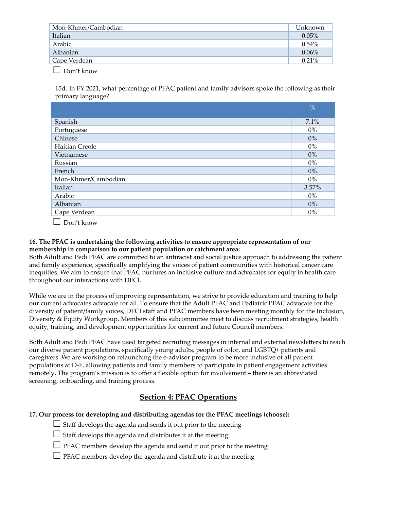| Mon-Khmer/Cambodian | Unknown  |
|---------------------|----------|
| Italian             | $0.05\%$ |
| Arabic              | $0.54\%$ |
| Albanian            | $0.06\%$ |
| Cape Verdean        | $0.21\%$ |
|                     |          |

 $\Box$  Don't know

15d. In FY 2021, what percentage of PFAC patient and family advisors spoke the following as their primary language?

|                          | $\frac{0}{0}$ |
|--------------------------|---------------|
| Spanish                  | 7.1%          |
| Portuguese               | $0\%$         |
| Chinese                  | $0\%$         |
| Haitian Creole           | $0\%$         |
| Vietnamese               | $0\%$         |
| Russian                  | $0\%$         |
| French                   | $0\%$         |
| Mon-Khmer/Cambodian      | $0\%$         |
| Italian                  | 3.57%         |
| Arabic                   | $0\%$         |
| Albanian                 | $0\%$         |
| Cape Verdean             | $0\%$         |
| $\overline{\phantom{0}}$ |               |

 $\Box$  Don't know

## **16. The PFAC is undertaking the following activities to ensure appropriate representation of our membership in comparison to our patient population or catchment area:**

Both Adult and Pedi PFAC are committed to an antiracist and social justice approach to addressing the patient and family experience, specifically amplifying the voices of patient communities with historical cancer care inequities. We aim to ensure that PFAC nurtures an inclusive culture and advocates for equity in health care throughout our interactions with DFCI.

While we are in the process of improving representation, we strive to provide education and training to help our current advocates advocate for all. To ensure that the Adult PFAC and Pediatric PFAC advocate for the diversity of patient/family voices, DFCI staff and PFAC members have been meeting monthly for the Inclusion, Diversity & Equity Workgroup. Members of this subcommittee meet to discuss recruitment strategies, health equity, training, and development opportunities for current and future Council members.

Both Adult and Pedi PFAC have used targeted recruiting messages in internal and external newsletters to reach our diverse patient populations, specifically young adults, people of color, and LGBTQ+ patients and caregivers. We are working on relaunching the e-advisor program to be more inclusive of all patient populations at D-F, allowing patients and family members to participate in patient engagement activities remotely. The program's mission is to offer a flexible option for involvement – there is an abbreviated screening, onboarding, and training process.

# **Section 4: PFAC Operations**

## **17. Our process for developing and distributing agendas for the PFAC meetings (choose):**

 $\Box$  Staff develops the agenda and sends it out prior to the meeting

- $\Box$  Staff develops the agenda and distributes it at the meeting
- $\Box$  PFAC members develop the agenda and send it out prior to the meeting
- $\Box$  PFAC members develop the agenda and distribute it at the meeting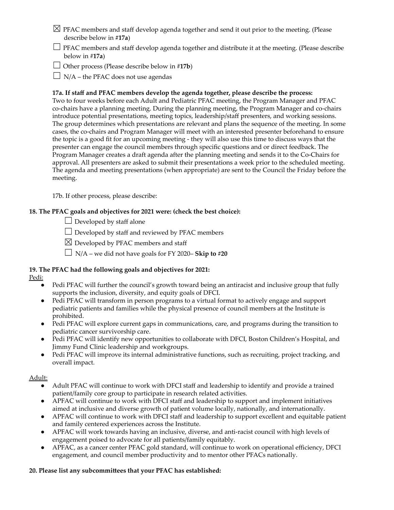- $\boxtimes$  PFAC members and staff develop agenda together and send it out prior to the meeting. (Please describe below in **#17a**)
- $\Box$  PFAC members and staff develop agenda together and distribute it at the meeting. (Please describe below in #**17a**)
- ☐ Other process (Please describe below in #**17b**)
- $\Box$  N/A the PFAC does not use agendas

## **17a. If staff and PFAC members develop the agenda together, please describe the process:**

Two to four weeks before each Adult and Pediatric PFAC meeting, the Program Manager and PFAC co-chairs have a planning meeting. During the planning meeting, the Program Manager and co-chairs introduce potential presentations, meeting topics, leadership/staff presenters, and working sessions. The group determines which presentations are relevant and plans the sequence of the meeting. In some cases, the co-chairs and Program Manager will meet with an interested presenter beforehand to ensure the topic is a good fit for an upcoming meeting - they will also use this time to discuss ways that the presenter can engage the council members through specific questions and or direct feedback. The Program Manager creates a draft agenda after the planning meeting and sends it to the Co-Chairs for approval. All presenters are asked to submit their presentations a week prior to the scheduled meeting. The agenda and meeting presentations (when appropriate) are sent to the Council the Friday before the meeting.

17b. If other process, please describe:

## **18. The PFAC goals and objectives for 2021 were: (check the best choice):**

 $\Box$  Developed by staff alone

 $\Box$  Developed by staff and reviewed by PFAC members

 $\boxtimes$  Developed by PFAC members and staff

☐ N/A – we did not have goals for FY 2020– **Skip to #20**

# **19. The PFAC had the following goals and objectives for 2021:**

Pedi:

- Pedi PFAC will further the council's growth toward being an antiracist and inclusive group that fully supports the inclusion, diversity, and equity goals of DFCI.
- Pedi PFAC will transform in person programs to a virtual format to actively engage and support pediatric patients and families while the physical presence of council members at the Institute is prohibited.
- Pedi PFAC will explore current gaps in communications, care, and programs during the transition to pediatric cancer survivorship care.
- Pedi PFAC will identify new opportunities to collaborate with DFCI, Boston Children's Hospital, and Jimmy Fund Clinic leadership and workgroups.
- Pedi PFAC will improve its internal administrative functions, such as recruiting, project tracking, and overall impact.

## Adult:

- Adult PFAC will continue to work with DFCI staff and leadership to identify and provide a trained patient/family core group to participate in research related activities.
- APFAC will continue to work with DFCI staff and leadership to support and implement initiatives aimed at inclusive and diverse growth of patient volume locally, nationally, and internationally.
- APFAC will continue to work with DFCI staff and leadership to support excellent and equitable patient and family centered experiences across the Institute.
- APFAC will work towards having an inclusive, diverse, and anti-racist council with high levels of engagement poised to advocate for all patients/family equitably.
- APFAC, as a cancer center PFAC gold standard, will continue to work on operational efficiency, DFCI engagement, and council member productivity and to mentor other PFACs nationally.

## **20. Please list any subcommittees that your PFAC has established:**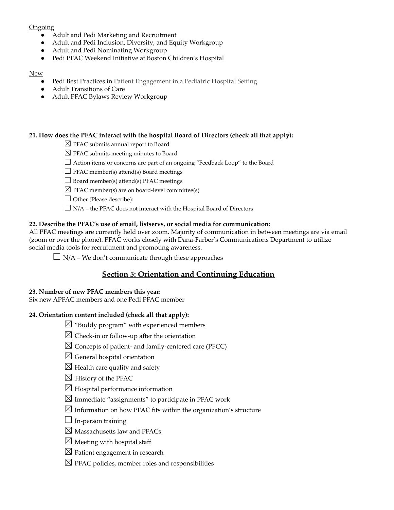## **Ongoing**

- Adult and Pedi Marketing and Recruitment
- Adult and Pedi Inclusion, Diversity, and Equity Workgroup
- Adult and Pedi Nominating Workgroup
- Pedi PFAC Weekend Initiative at Boston Children's Hospital

#### New

- Pedi Best Practices in Patient Engagement in a Pediatric Hospital Setting
- Adult Transitions of Care
- Adult PFAC Bylaws Review Workgroup

## **21. How does the PFAC interact with the hospital Board of Directors (check all that apply):**

- $\boxtimes$  PFAC submits annual report to Board
- $\boxtimes$  PFAC submits meeting minutes to Board
- $\Box$  Action items or concerns are part of an ongoing "Feedback Loop" to the Board
- $\Box$  PFAC member(s) attend(s) Board meetings
- $\Box$  Board member(s) attend(s) PFAC meetings
- $\boxtimes$  PFAC member(s) are on board-level committee(s)
- □ Other (Please describe):
- $\Box$  N/A the PFAC does not interact with the Hospital Board of Directors

## **22. Describe the PFAC's use of email, listservs, or social media for communication:**

All PFAC meetings are currently held over zoom. Majority of communication in between meetings are via email (zoom or over the phone). PFAC works closely with Dana-Farber's Communications Department to utilize social media tools for recruitment and promoting awareness.

 $\Box$  N/A – We don't communicate through these approaches

# **Section 5: Orientation and Continuing Education**

#### **23. Number of new PFAC members this year:**

Six new APFAC members and one Pedi PFAC member

## **24. Orientation content included (check all that apply):**

- $\boxtimes$  "Buddy program" with experienced members
- $\boxtimes$  Check-in or follow-up after the orientation
- $\boxtimes$  Concepts of patient- and family-centered care (PFCC)
- $\boxtimes$  General hospital orientation
- $\boxtimes$  Health care quality and safety
- $\boxtimes$  History of the PFAC
- $\boxtimes$  Hospital performance information
- $\boxtimes$  Immediate "assignments" to participate in PFAC work
- $\boxtimes$  Information on how PFAC fits within the organization's structure
- $\Box$  In-person training
- $\boxtimes$  Massachusetts law and PFACs
- $\boxtimes$  Meeting with hospital staff
- $\boxtimes$  Patient engagement in research
- $\boxtimes$  PFAC policies, member roles and responsibilities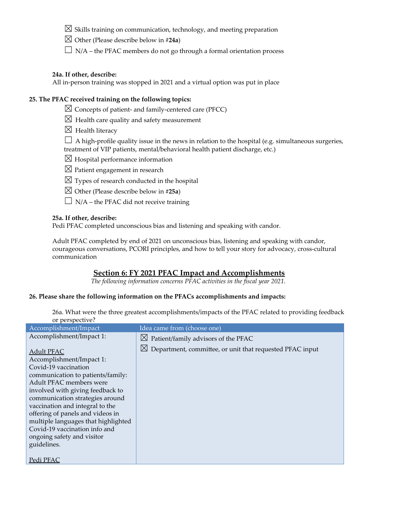## $\boxtimes$  Skills training on communication, technology, and meeting preparation

- ☒ Other (Please describe below in #**24a**)
- $\Box$  N/A the PFAC members do not go through a formal orientation process

#### **24a. If other, describe:**

All in-person training was stopped in 2021 and a virtual option was put in place

## **25. The PFAC received training on the following topics:**

- $\boxtimes$  Concepts of patient- and family-centered care (PFCC)
- $\boxtimes$  Health care quality and safety measurement
- $\boxtimes$  Health literacy
- $\Box$  A high-profile quality issue in the news in relation to the hospital (e.g. simultaneous surgeries, treatment of VIP patients, mental/behavioral health patient discharge, etc.)
- $\boxtimes$  Hospital performance information
- $\boxtimes$  Patient engagement in research
- $\boxtimes$  Types of research conducted in the hospital
- ☒ Other (Please describe below in **#25a**)
- $\Box$  N/A the PFAC did not receive training

#### **25a. If other, describe:**

Pedi PFAC completed unconscious bias and listening and speaking with candor.

Adult PFAC completed by end of 2021 on unconscious bias, listening and speaking with candor, courageous conversations, PCORI principles, and how to tell your story for advocacy, cross-cultural communication

## **Section 6: FY 2021 PFAC Impact and Accomplishments**

*The following information concerns PFAC activities in the fiscal year 2021.*

#### **26. Please share the following information on the PFACs accomplishments and impacts:**

26a. What were the three greatest accomplishments/impacts of the PFAC related to providing feedback or perspective?

| Accomplishment/Impact                                                                                                                                                                                                                                                                                                                                                                                    | Idea came from (choose one)                                             |
|----------------------------------------------------------------------------------------------------------------------------------------------------------------------------------------------------------------------------------------------------------------------------------------------------------------------------------------------------------------------------------------------------------|-------------------------------------------------------------------------|
| Accomplishment/Impact 1:                                                                                                                                                                                                                                                                                                                                                                                 | $\boxtimes$ Patient/family advisors of the PFAC                         |
| <b>Adult PFAC</b><br>Accomplishment/Impact 1:<br>Covid-19 vaccination<br>communication to patients/family:<br>Adult PFAC members were<br>involved with giving feedback to<br>communication strategies around<br>vaccination and integral to the<br>offering of panels and videos in<br>multiple languages that highlighted<br>Covid-19 vaccination info and<br>ongoing safety and visitor<br>guidelines. | $\boxtimes$<br>Department, committee, or unit that requested PFAC input |
| Pedi PFAC                                                                                                                                                                                                                                                                                                                                                                                                |                                                                         |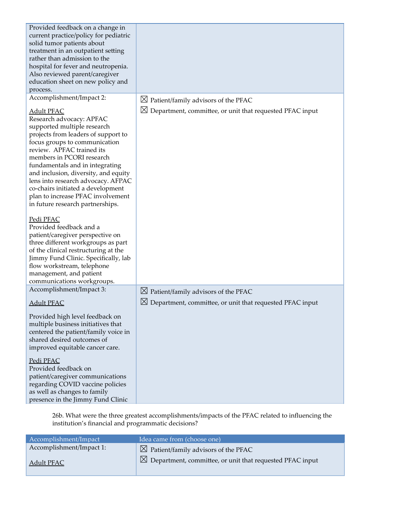| Provided feedback on a change in<br>current practice/policy for pediatric<br>solid tumor patients about<br>treatment in an outpatient setting<br>rather than admission to the<br>hospital for fever and neutropenia.<br>Also reviewed parent/caregiver<br>education sheet on new policy and<br>process.                                                                                                                                                                   |                                                                                                                            |
|---------------------------------------------------------------------------------------------------------------------------------------------------------------------------------------------------------------------------------------------------------------------------------------------------------------------------------------------------------------------------------------------------------------------------------------------------------------------------|----------------------------------------------------------------------------------------------------------------------------|
| Accomplishment/Impact 2:<br><b>Adult PFAC</b><br>Research advocacy: APFAC<br>supported multiple research<br>projects from leaders of support to<br>focus groups to communication<br>review. APFAC trained its<br>members in PCORI research<br>fundamentals and in integrating<br>and inclusion, diversity, and equity<br>lens into research advocacy. AFPAC<br>co-chairs initiated a development<br>plan to increase PFAC involvement<br>in future research partnerships. | $\boxtimes$ Patient/family advisors of the PFAC<br>$\boxtimes$<br>Department, committee, or unit that requested PFAC input |
| Pedi PFAC<br>Provided feedback and a<br>patient/caregiver perspective on<br>three different workgroups as part<br>of the clinical restructuring at the<br>Jimmy Fund Clinic. Specifically, lab<br>flow workstream, telephone<br>management, and patient<br>communications workgroups.                                                                                                                                                                                     |                                                                                                                            |
| Accomplishment/Impact 3:                                                                                                                                                                                                                                                                                                                                                                                                                                                  | $\boxtimes$ Patient/family advisors of the PFAC                                                                            |
| <b>Adult PFAC</b>                                                                                                                                                                                                                                                                                                                                                                                                                                                         | $\boxtimes$<br>Department, committee, or unit that requested PFAC input                                                    |
| Provided high level feedback on<br>multiple business initiatives that<br>centered the patient/family voice in<br>shared desired outcomes of<br>improved equitable cancer care.<br>Pedi PFAC<br>Provided feedback on<br>patient/caregiver communications<br>regarding COVID vaccine policies                                                                                                                                                                               |                                                                                                                            |
| as well as changes to family<br>presence in the Jimmy Fund Clinic                                                                                                                                                                                                                                                                                                                                                                                                         |                                                                                                                            |

26b. What were the three greatest accomplishments/impacts of the PFAC related to influencing the institution's financial and programmatic decisions?

| Accomplishment/Impact    | Idea came from (choose one)                                          |
|--------------------------|----------------------------------------------------------------------|
| Accomplishment/Impact 1: | $\boxtimes$ Patient/family advisors of the PFAC                      |
| Adult PFAC               | $\boxtimes$ Department, committee, or unit that requested PFAC input |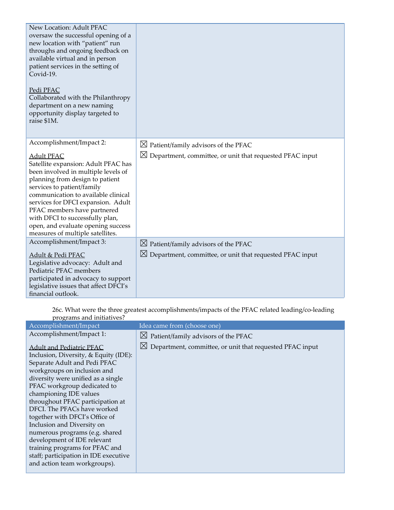| New Location: Adult PFAC<br>oversaw the successful opening of a<br>new location with "patient" run<br>throughs and ongoing feedback on<br>available virtual and in person<br>patient services in the setting of<br>Covid-19.<br>Pedi PFAC<br>Collaborated with the Philanthropy<br>department on a new naming<br>opportunity display targeted to<br>raise \$1M.                           |                                                                      |
|-------------------------------------------------------------------------------------------------------------------------------------------------------------------------------------------------------------------------------------------------------------------------------------------------------------------------------------------------------------------------------------------|----------------------------------------------------------------------|
| Accomplishment/Impact 2:                                                                                                                                                                                                                                                                                                                                                                  | $\boxtimes$ Patient/family advisors of the PFAC                      |
| <b>Adult PFAC</b><br>Satellite expansion: Adult PFAC has<br>been involved in multiple levels of<br>planning from design to patient<br>services to patient/family<br>communication to available clinical<br>services for DFCI expansion. Adult<br>PFAC members have partnered<br>with DFCI to successfully plan,<br>open, and evaluate opening success<br>measures of multiple satellites. | $\boxtimes$ Department, committee, or unit that requested PFAC input |
| Accomplishment/Impact 3:                                                                                                                                                                                                                                                                                                                                                                  | $\boxtimes$ Patient/family advisors of the PFAC                      |
| Adult & Pedi PFAC<br>Legislative advocacy: Adult and<br>Pediatric PFAC members<br>participated in advocacy to support<br>legislative issues that affect DFCI's<br>financial outlook.                                                                                                                                                                                                      | $\boxtimes$ Department, committee, or unit that requested PFAC input |

26c. What were the three greatest accomplishments/impacts of the PFAC related leading/co-leading programs and initiatives?

| Accomplishment/Impact                                                                                                                                                                                                                                                                                                                                                                                                                                                                                                                                 | Idea came from (choose one)                              |
|-------------------------------------------------------------------------------------------------------------------------------------------------------------------------------------------------------------------------------------------------------------------------------------------------------------------------------------------------------------------------------------------------------------------------------------------------------------------------------------------------------------------------------------------------------|----------------------------------------------------------|
| Accomplishment/Impact 1:                                                                                                                                                                                                                                                                                                                                                                                                                                                                                                                              | $\boxtimes$ Patient/family advisors of the PFAC          |
| <b>Adult and Pediatric PFAC</b><br>Inclusion, Diversity, & Equity (IDE):<br>Separate Adult and Pedi PFAC<br>workgroups on inclusion and<br>diversity were unified as a single<br>PFAC workgroup dedicated to<br>championing IDE values<br>throughout PFAC participation at<br>DFCI. The PFACs have worked<br>together with DFCI's Office of<br>Inclusion and Diversity on<br>numerous programs (e.g. shared<br>development of IDE relevant<br>training programs for PFAC and<br>staff; participation in IDE executive<br>and action team workgroups). | Department, committee, or unit that requested PFAC input |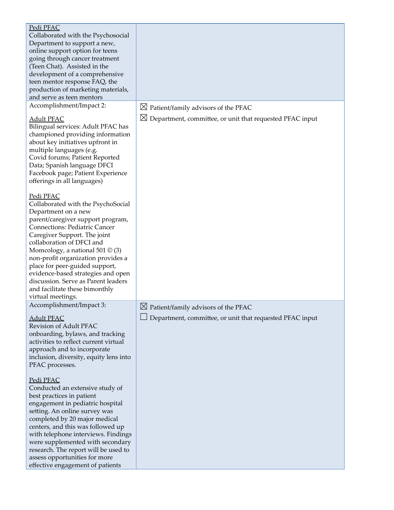| Pedi PFAC<br>Collaborated with the Psychosocial<br>Department to support a new,<br>online support option for teens<br>going through cancer treatment<br>(Teen Chat). Assisted in the<br>development of a comprehensive<br>teen mentor response FAQ, the<br>production of marketing materials,<br>and serve as teen mentors                                                                                                                                                   |                                                                      |
|------------------------------------------------------------------------------------------------------------------------------------------------------------------------------------------------------------------------------------------------------------------------------------------------------------------------------------------------------------------------------------------------------------------------------------------------------------------------------|----------------------------------------------------------------------|
| Accomplishment/Impact 2:                                                                                                                                                                                                                                                                                                                                                                                                                                                     | $\boxtimes$ Patient/family advisors of the PFAC                      |
| <b>Adult PFAC</b><br>Bilingual services: Adult PFAC has<br>championed providing information<br>about key initiatives upfront in<br>multiple languages (e.g.<br>Covid forums; Patient Reported<br>Data; Spanish language DFCI<br>Facebook page; Patient Experience<br>offerings in all languages)                                                                                                                                                                             | $\boxtimes$ Department, committee, or unit that requested PFAC input |
| Pedi PFAC<br>Collaborated with the PsychoSocial<br>Department on a new<br>parent/caregiver support program,<br><b>Connections: Pediatric Cancer</b><br>Caregiver Support. The joint<br>collaboration of DFCI and<br>Momcology, a national $501 \circledcirc (3)$<br>non-profit organization provides a<br>place for peer-guided support,<br>evidence-based strategies and open<br>discussion. Serve as Parent leaders<br>and facilitate these bimonthly<br>virtual meetings. |                                                                      |
| Accomplishment/Impact 3:                                                                                                                                                                                                                                                                                                                                                                                                                                                     | $\boxtimes$ Patient/family advisors of the PFAC                      |
| <b>Adult PFAC</b><br>Revision of Adult PFAC<br>onboarding, bylaws, and tracking<br>activities to reflect current virtual<br>approach and to incorporate<br>inclusion, diversity, equity lens into<br>PFAC processes.                                                                                                                                                                                                                                                         | Department, committee, or unit that requested PFAC input             |
| Pedi PFAC<br>Conducted an extensive study of<br>best practices in patient<br>engagement in pediatric hospital<br>setting. An online survey was<br>completed by 20 major medical<br>centers, and this was followed up<br>with telephone interviews. Findings<br>were supplemented with secondary<br>research. The report will be used to<br>assess opportunities for more<br>effective engagement of patients                                                                 |                                                                      |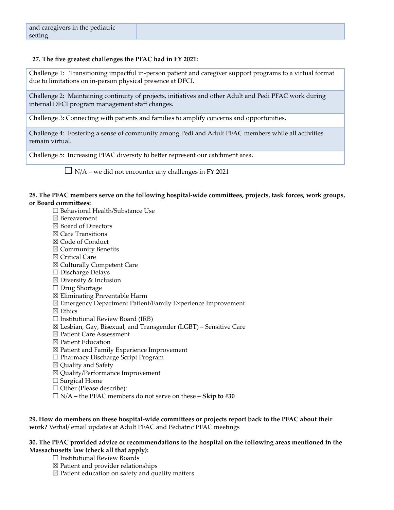## **27. The five greatest challenges the PFAC had in FY 2021:**

Challenge 1: Transitioning impactful in-person patient and caregiver support programs to a virtual format due to limitations on in-person physical presence at DFCI.

Challenge 2: Maintaining continuity of projects, initiatives and other Adult and Pedi PFAC work during internal DFCI program management staff changes.

Challenge 3: Connecting with patients and families to amplify concerns and opportunities.

Challenge 4: Fostering a sense of community among Pedi and Adult PFAC members while all activities remain virtual.

Challenge 5: Increasing PFAC diversity to better represent our catchment area.

 $\Box$  N/A – we did not encounter any challenges in FY 2021

#### **28. The PFAC members serve on the following hospital-wide committees, projects, task forces, work groups, or Board committees:**

- ☐ Behavioral Health/Substance Use
- ☒ Bereavement
- ☒ Board of Directors
- ☒ Care Transitions
- ☒ Code of Conduct
- ☒ Community Benefits
- ☒ Critical Care
- ☒ Culturally Competent Care
- ☐ Discharge Delays
- $\boxtimes$  Diversity & Inclusion
- ☐ Drug Shortage
- ☒ Eliminating Preventable Harm
- ☒ Emergency Department Patient/Family Experience Improvement
- ☒ Ethics
- $\Box$  Institutional Review Board (IRB)
- $\boxtimes$  Lesbian, Gay, Bisexual, and Transgender (LGBT) Sensitive Care
- ☒ Patient Care Assessment
- ☒ Patient Education
- ☒ Patient and Family Experience Improvement
- ☐ Pharmacy Discharge Script Program
- ☒ Quality and Safety
- ☒ Quality/Performance Improvement
- $\Box$  Surgical Home
- ☐ Other (Please describe):
- ☐ N/A **–** the PFAC members do not serve on these **Skip to #30**

**29. How do members on these hospital-wide committees or projects report back to the PFAC about their work?** Verbal/ email updates at Adult PFAC and Pediatric PFAC meetings

#### **30. The PFAC provided advice or recommendations to the hospital on the following areas mentioned in the Massachusetts law (check all that apply):**

- $\Box$  Institutional Review Boards
- $\boxtimes$  Patient and provider relationships
- ☒ Patient education on safety and quality matters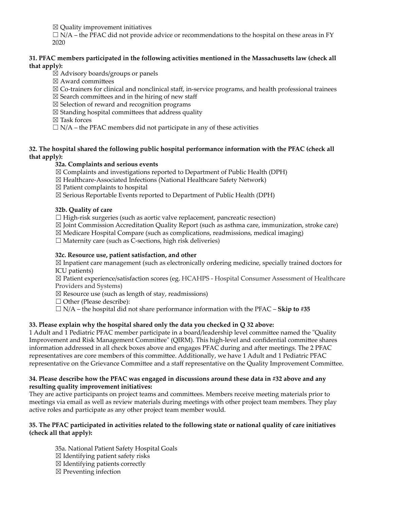$\boxtimes$  Quality improvement initiatives

 $\Box$  N/A – the PFAC did not provide advice or recommendations to the hospital on these areas in FY 2020

## **31. PFAC members participated in the following activities mentioned in the Massachusetts law (check all that apply):**

☒ Advisory boards/groups or panels

☒ Award committees

- $\boxtimes$  Co-trainers for clinical and nonclinical staff, in-service programs, and health professional trainees
- $\boxtimes$  Search committees and in the hiring of new staff
- ☒ Selection of reward and recognition programs
- $\boxtimes$  Standing hospital committees that address quality

☒ Task forces

 $\Box$  N/A – the PFAC members did not participate in any of these activities

## **32. The hospital shared the following public hospital performance information with the PFAC (check all that apply):**

## **32a. Complaints and serious events**

- ☒ Complaints and investigations reported to Department of Public Health (DPH)
- ☒ Healthcare-Associated Infections (National Healthcare Safety Network)
- $\boxtimes$  Patient complaints to hospital
- ☒ Serious Reportable Events reported to Department of Public Health (DPH)

#### **32b. Quality of care**

 $\Box$  High-risk surgeries (such as aortic valve replacement, pancreatic resection)

- ☒ Joint Commission Accreditation Quality Report (such as asthma care, immunization, stroke care)
- $\boxtimes$  Medicare Hospital Compare (such as complications, readmissions, medical imaging)
- $\Box$  Maternity care (such as C-sections, high risk deliveries)

### **32c. Resource use, patient satisfaction, and other**

 $\boxtimes$  Inpatient care management (such as electronically ordering medicine, specially trained doctors for ICU patients)

☒ Patient experience/satisfaction scores (eg. HCAHPS - Hospital Consumer Assessment of Healthcare Providers and Systems)

- $\boxtimes$  Resource use (such as length of stay, readmissions)
- □ Other (Please describe):
- $\Box$  N/A the hospital did not share performance information with the PFAC **Skip to** #35

## **33. Please explain why the hospital shared only the data you checked in Q 32 above:**

1 Adult and 1 Pediatric PFAC member participate in a board/leadership level committee named the "Quality Improvement and Risk Management Committee" (QIRM). This high-level and confidential committee shares information addressed in all check boxes above and engages PFAC during and after meetings. The 2 PFAC representatives are core members of this committee. Additionally, we have 1 Adult and 1 Pediatric PFAC representative on the Grievance Committee and a staff representative on the Quality Improvement Committee.

#### **34. Please describe how the PFAC was engaged in discussions around these data in #32 above and any resulting quality improvement initiatives:**

They are active participants on project teams and committees. Members receive meeting materials prior to meetings via email as well as review materials during meetings with other project team members. They play active roles and participate as any other project team member would.

#### 35. The PFAC participated in activities related to the following state or national quality of care initiatives **(check all that apply):**

- 35a. National Patient Safety Hospital Goals
- $\boxtimes$  Identifying patient safety risks
- $\boxtimes$  Identifying patients correctly
- ☒ Preventing infection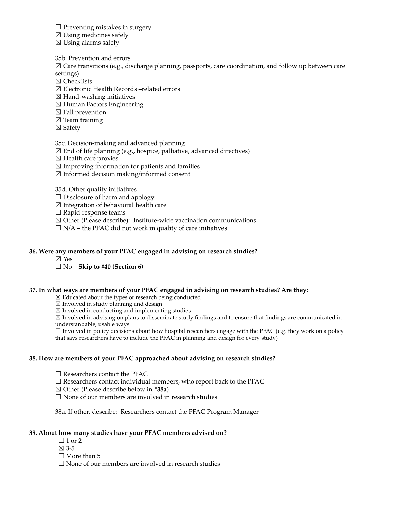$\Box$  Preventing mistakes in surgery

 $\boxtimes$  Using medicines safely

 $\boxtimes$  Using alarms safely

35b. Prevention and errors

 $\boxtimes$  Care transitions (e.g., discharge planning, passports, care coordination, and follow up between care settings)

☒ Checklists

☒ Electronic Health Records –related errors

- $\boxtimes$  Hand-washing initiatives
- ☒ Human Factors Engineering
- $\boxtimes$  Fall prevention
- $\boxtimes$  Team training
- ☒ Safety

35c. Decision-making and advanced planning

- $\boxtimes$  End of life planning (e.g., hospice, palliative, advanced directives)
- ☒ Health care proxies
- $\boxtimes$  Improving information for patients and families
- ☒ Informed decision making/informed consent

35d. Other quality initiatives

 $\Box$  Disclosure of harm and apology

 $\boxtimes$  Integration of behavioral health care

☐ Rapid response teams

 $\boxtimes$  Other (Please describe): Institute-wide vaccination communications

 $\Box$  N/A – the PFAC did not work in quality of care initiatives

#### **36. Were any members of your PFAC engaged in advising on research studies?**

☒ Yes

☐ No – **Skip to #40 (Section 6)**

#### **37. In what ways are members of your PFAC engaged in advising on research studies? Are they:**

☒ Educated about the types of research being conducted

 $\boxtimes$  Involved in study planning and design

 $\boxtimes$  Involved in conducting and implementing studies

☒ Involved in advising on plans to disseminate study findings and to ensure that findings are communicated in understandable, usable ways

 $\Box$  Involved in policy decisions about how hospital researchers engage with the PFAC (e.g. they work on a policy that says researchers have to include the PFAC in planning and design for every study)

#### **38. How are members of your PFAC approached about advising on research studies?**

 $\Box$  Researchers contact the PFAC

 $\Box$  Researchers contact individual members, who report back to the PFAC

- ☒ Other (Please describe below in **#38a**)
- $\Box$  None of our members are involved in research studies

38a. If other, describe: Researchers contact the PFAC Program Manager

#### **39. About how many studies have your PFAC members advised on?**

- $\Box$  1 or 2
- ☒ 3-5

 $\Box$  More than 5

□ None of our members are involved in research studies